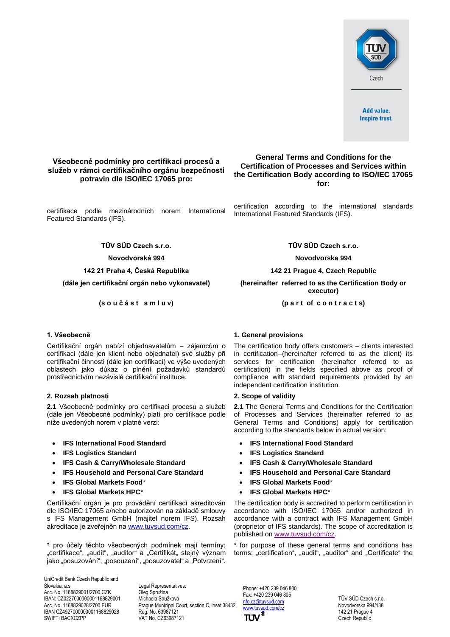

# **Všeobecné podmínky pro certifikaci procesů a služeb v rámci certifikačního orgánu bezpečnosti potravin dle ISO/IEC 17065 pro:**

certifikace podle mezinárodních norem International Featured Standards (IFS).

**Novodvorská 994 Novodvorska 994**

Certifikační orgán nabízí objednavatelům – zájemcům o certifikaci (dále jen klient nebo objednatel) své služby při certifikační činnosti (dále jen certifikaci) ve výše uvedených oblastech jako důkaz o plnění požadavků standardů prostřednictvím nezávislé certifikační instituce.

## **2. Rozsah platnosti 2. Scope of validity**

**2.1** Všeobecné podmínky pro certifikaci procesů a služeb (dále jen Všeobecné podmínky) platí pro certifikace podle níže uvedených norem v platné verzi:

- **IFS International Food Standard**
- **IFS Logistics Standard**
- **IFS Cash & Carry/Wholesale Standard**
- **IFS Household and Personal Care Standard**
- **IFS Global Markets Food**\*
- **IFS Global Markets HPC**\*

Certifikační orgán je pro provádění certifikací akreditován dle ISO/IEC 17065 a/nebo autorizován na základě smlouvy s IFS Management GmbH (majitel norem IFS). Rozsah akreditace je zveřejněn n[a www.tuvsud.com/cz.](http://www.tuvsud.com/cs-cz)

\* pro účely těchto všeobecných podmínek mají termíny: "certifikace", "audit", "auditor" a "Certifikát" stejný význam jako "posuzování", "posouzení", "posuzovatel" a "Potvrzení".

UniCredit Bank Czech Republic and Slovakia, a.s. Acc. No. 1168829001/2700 CZK IBAN: CZ0227000000001168829001 Acc. No. 1168829028/2700 EUR IBAN CZ4927000000001168829028 SWIFT: BACXCZPP

Legal Representatives: Oleg Spružina Michaela Stružková Prague Municipal Court, section C, inset 38432 Reg. No. 63987121 VAT No. CZ63987121

# **General Terms and Conditions for the Certification of Processes and Services within the Certification Body according to ISO/IEC 17065 for:**

certification according to the international standards International Featured Standards (IFS).

**TÜV SÜD Czech s.r.o. TÜV SÜD Czech s.r.o.**

**142 21 Praha 4, Česká Republika 142 21 Prague 4, Czech Republic**

**(dále jen certifikační orgán nebo vykonavatel) (hereinafter referred to as the Certification Body or executor)**

**(s o u č á s t s m l u v) (p a r t of c o n t r a c t s)**

# **1. Všeobecně 1. General provisions**

The certification body offers customers – clients interested in certification-(hereinafter referred to as the client) its services for certification (hereinafter referred to as certification) in the fields specified above as proof of compliance with standard requirements provided by an independent certification institution.

**2.1** The General Terms and Conditions for the Certification of Processes and Services (hereinafter referred to as General Terms and Conditions) apply for certification according to the standards below in actual version:

- **IFS International Food Standard**
- **IFS Logistics Standard**
- **IFS Cash & Carry/Wholesale Standard**
- **IFS Household and Personal Care Standard**
- **IFS Global Markets Food**\*
- **IFS Global Markets HPC**\*

The certification body is accredited to perform certification in accordance with ISO/IEC 17065 and/or authorized in accordance with a contract with IFS Management GmbH (proprietor of IFS standards). The scope of accreditation is published on [www.tuvsud.com/cz.](http://www.tuvsud.com/cz)

\* for purpose of these general terms and conditions has terms: "certification", "audit", "auditor" and "Certificate" the

Phone: +420 239 046 800 Fax: +420 239 046 805 nfo.cz@tuvsud.com [www.tuvsud.com/cz](http://www.tuvsud.com/cs-cz) TÜV

TÜV SÜD Czech s.r.o. Novodvorska 994/138 142 21 Prague 4 Czech Republic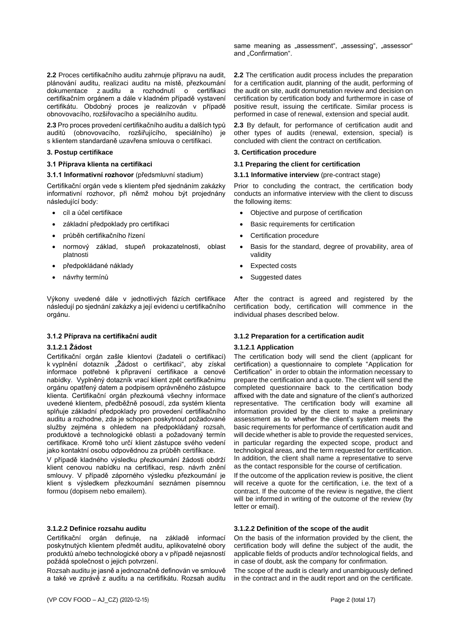**2.2** Proces certifikačního auditu zahrnuje přípravu na audit, plánování auditu, realizaci auditu na místě, přezkoumání dokumentace z auditu a rozhodnutí o certifikaci certifikačním orgánem a dále v kladném případě vystavení certifikátu. Obdobný proces je realizován v případě obnovovacího, rozšiřovacího a speciálního auditu.

**2.3** Pro proces provedení certifikačního auditu a dalších typů auditů (obnovovacího, rozšiřujícího, speciálního) je s klientem standardaně uzavřena smlouva o certifikaci.

### **3.1.1 Informativní rozhovor** (předsmluvní stadium) **3.1.1 Informative interview** (pre-contract stage)

Certifikační orgán vede s klientem před sjednáním zakázky informativní rozhovor, při němž mohou být projednány následující body:

- 
- 
- průběh certifikačního řízení Certification procedure
- normový základ, stupeň prokazatelnosti, oblast platnosti
- předpokládané náklady Expected costs
- 

Výkony uvedené dále v jednotlivých fázích certifikace následují po sjednání zakázky a její evidenci u certifikačního orgánu.

## **3.1.2.1 Žádost**

Certifikační orgán zašle klientovi (žadateli o certifikaci) k vyplnění dotazník "Žádost o certifikaci", aby získal informace potřebné k připravení certifikace a cenové nabídky. Vyplněný dotazník vrací klient zpět certifikačnímu orgánu opatřený datem a podpisem oprávněného zástupce klienta. Certifikační orgán přezkoumá všechny informace uvedené klientem, předběžně posoudí, zda systém klienta splňuje základní předpoklady pro provedení certifikačního auditu a rozhodne, zda je schopen poskytnout požadované služby zejména s ohledem na předpokládaný rozsah, produktové a technologické oblasti a požadovaný termín certifikace. Kromě toho určí klient zástupce svého vedení jako kontaktní osobu odpovědnou za průběh certifikace.

V případě kladného výsledku přezkoumání žádosti obdrží klient cenovou nabídku na certifikaci, resp. návrh znění smlouvy. V případě záporného výsledku přezkoumání je klient s výsledkem přezkoumání seznámen písemnou formou (dopisem nebo emailem).

## **3.1.2.2 Definice rozsahu auditu**

Certifikační orgán definuje, na základě informací poskytnutých klientem předmět auditu, aplikovatelné obory produktů a/nebo technologické obory a v případě nejasností požádá společnost o jejich potvrzení.

Rozsah auditu je jasně a jednoznačně definován ve smlouvě a také ve zprávě z auditu a na certifikátu. Rozsah auditu same meaning as "assessment", "assessing", "assessor" and "Confirmation".

**2.2** The certification audit process includes the preparation for a certification audit, planning of the audit, performing of the audit on site, audit domunetation review and decision on certification by certification body and furthermore in case of positive result, issuing the certificate. Similar process is performed in case of renewal, extension and special audit.

**2.3** By default, for performance of certification audit and other types of audits (renewal, extension, special) is concluded with client the contract on certification.

## **3. Postup certifikace 3. Certification procedure**

## **3.1 Příprava klienta na certifikaci 3.1 Preparing the client for certification**

Prior to concluding the contract, the certification body conducts an informative interview with the client to discuss the following items:

- cíl a účel certifikace **•** Objective and purpose of certification
	- základní předpoklady pro certifikaci Basic requirements for certification
		-
		- Basis for the standard, degree of provability, area of validity
		-
	- návrhy termínů Suggested dates

After the contract is agreed and registered by the certification body, certification will commence in the individual phases described below.

## **3.1.2 Příprava na certifikační audit 3.1.2 Preparation for a certification audit**

## **3.1.2.1 Application**

The certification body will send the client (applicant for certification) a questionnaire to complete "Application for Certification" in order to obtain the information necessary to prepare the certification and a quote. The client will send the completed questionnaire back to the certification body affixed with the date and signature of the client's authorized representative. The certification body will examine all information provided by the client to make a preliminary assessment as to whether the client's system meets the basic requirements for performance of certification audit and will decide whether is able to provide the requested services, in particular regarding the expected scope, product and technological areas, and the term requested for certification. In addition, the client shall name a representative to serve as the contact responsible for the course of certification.

If the outcome of the application review is positive, the client will receive a quote for the certification, i.e. the text of a contract. If the outcome of the review is negative, the client will be informed in writing of the outcome of the review (by letter or email).

## **3.1.2.2 Definition of the scope of the audit**

On the basis of the information provided by the client, the certification body will define the subject of the audit, the applicable fields of products and/or technological fields, and in case of doubt, ask the company for confirmation.

The scope of the audit is clearly and unambiguously defined in the contract and in the audit report and on the certificate.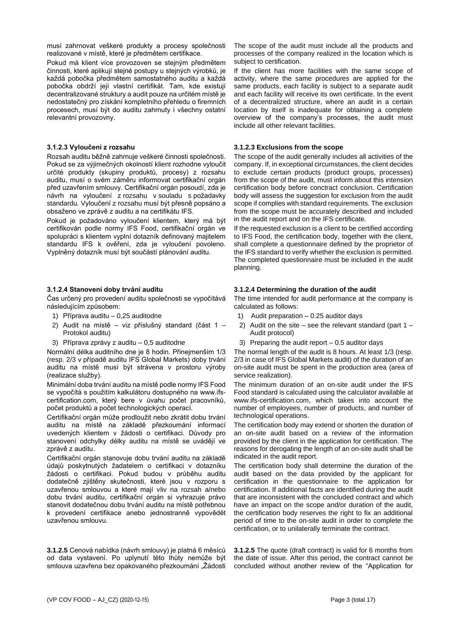musí zahrnovat veškeré produkty a procesy společnosti realizované v místě, které je předmětem certifikace.

Pokud má klient více provozoven se stejným předmětem činnosti, které aplikují stejné postupy u stejných výrobků, je každá pobočka předmětem samostatného auditu a každá pobočka obdrží její vlastní certifikát. Tam, kde existují decentralizované struktury a audit pouze na určitém místě je nedostatečný pro získání kompletního přehledu o firemních procesech, musí být do auditu zahrnuty i všechny ostatní relevantní provozovny.

## **3.1.2.3 Vyloučení z rozsahu**

Rozsah auditu běžně zahrnuje veškeré činnosti společnosti. Pokud se za výjimečných okolností klient rozhodne vyloučit určité produkty (skupiny produktů, procesy) z rozsahu auditu, musí o svém záměru informovat certifikační orgán před uzavřením smlouvy. Certifikační orgán posoudí, zda je návrh na vyloučení z rozsahu v souladu s požadavky standardu. Vyloučení z rozsahu musí být přesně popsáno a obsaženo ve zprávě z auditu a na certifikátu IFS.

Pokud je požadováno vyloučení klientem, který má být certifikován podle normy IFS Food, certifikační orgán ve spolupráci s klientem vyplní dotazník definovaný majitelem standardu IFS k ověření, zda je vyloučení povoleno. Vyplněný dotazník musí být součástí plánování auditu.

# **3.1.2.4 Stanovení doby trvání auditu**

Čas určený pro provedení auditu společnosti se vypočítává následujícím způsobem:

- 1) Příprava auditu 0,25 auditodne
- 2) Audit na místě viz příslušný standard (část 1 Protokol auditu)
- 3) Příprava zprávy z auditu 0,5 auditodne

Normální délka auditního dne je 8 hodin. Přinejmenším 1/3 (resp. 2/3 v případě auditu IFS Global Markets) doby trvání auditu na místě musí být strávena v prostoru výroby (realizace služby).

Minimální doba trvání auditu na místě podle normy IFS Food se vypočítá s použitím kalkulátoru dostupného na www.ifscertification.com, který bere v úvahu počet pracovníků, počet produktů a počet technologických operací.

Certifikační orgán může prodloužit nebo zkrátit dobu trvání auditu na místě na základě přezkoumání informací uvedených klientem v žádosti o certifikaci. Důvody pro stanovení odchylky délky auditu na místě se uvádějí ve zprávě z auditu.

Certifikační orgán stanovuje dobu trvání auditu na základě údajů poskytnutých žadatelem o certifikaci v dotazníku žádosti o certifikaci. Pokud budou v průběhu auditu dodatečně zjištěny skutečnosti, které jsou v rozporu s uzavřenou smlouvou a které mají vliv na rozsah a/nebo dobu trvání auditu, certifikační orgán si vyhrazuje právo stanovit dodatečnou dobu trvání auditu na místě potřebnou k provedení certifikace anebo jednostranně vypovědět uzavřenou smlouvu.

**3.1.2.5** Cenová nabídka (návrh smlouvy) je platná 6 měsíců od data vystavení. Po uplynutí této lhůty nemůže být smlouva uzavřena bez opakovaného přezkoumání "Žádosti

The scope of the audit must include all the products and processes of the company realized in the location which is subject to certification.

If the client has more facilities with the same scope of activity, where the same procedures are applied for the same products, each facility is subject to a separate audit and each facility will receive its own certificate. In the event of a decentralized structure, where an audit in a certain location by itself is inadequate for obtaining a complete overview of the company's processes, the audit must include all other relevant facilities.

## **3.1.2.3 Exclusions from the scope**

The scope of the audit generally includes all activities of the company. If, in exceptional circumstances, the client decides to exclude certain products (product groups, processes) from the scope of the audit, must inform about this intension certification body before conctract conclusion. Certification body will assess the suggestion for exclusion from the audit scope if complies with standard requirements. The exclusion from the scope must be accurately described and included in the audit report and on the IFS certificate.

If the requested exclusion is a client to be certified according to IFS Food, the certification body, together with the client, shall complete a questionnaire defined by the proprietor of the IFS standard to verify whether the exclusion is permitted. The completed questionnaire must be included in the audit planning.

# **3.1.2.4 Determining the duration of the audit**

The time intended for audit performance at the company is calculated as follows:

- 1) Audit preparation 0.25 auditor days
- 2) Audit on the site see the relevant standard (part  $1 -$ Audit protocol)
- 3) Preparing the audit report 0.5 auditor days

The normal length of the audit is 8 hours. At least 1/3 (resp. 2/3 in case of IFS Global Markets audit) of the duration of an on-site audit must be spent in the production area (area of service realization).

The minimum duration of an on-site audit under the IFS Food standard is calculated using the calculator available at www.ifs-certification.com, which takes into account the number of employees, number of products, and number of technological operations.

The certification body may extend or shorten the duration of an on-site audit based on a review of the information provided by the client in the application for certification. The reasons for derogating the length of an on-site audit shall be indicated in the audit report.

The certification body shall determine the duration of the audit based on the data provided by the applicant for certification in the questionnaire to the application for certification. If additional facts are identified during the audit that are inconsistent with the concluded contract and which have an impact on the scope and/or duration of the audit, the certification body reserves the right to fix an additional period of time to the on-site audit in order to complete the certification, or to unilaterally terminate the contract.

**3.1.2.5** The quote (draft contract) is valid for 6 months from the date of issue. After this period, the contract cannot be concluded without another review of the "Application for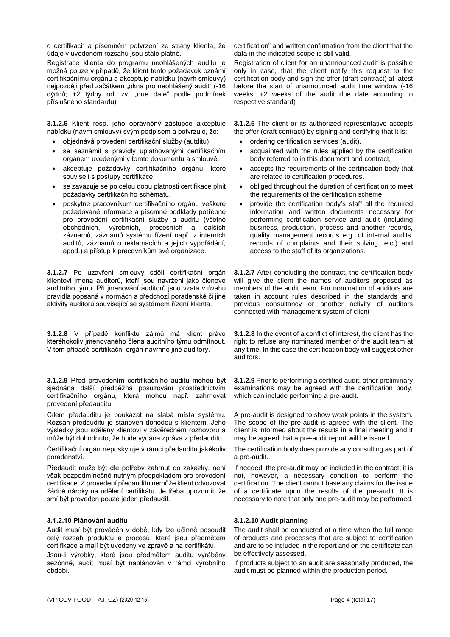o certifikaci" a písemném potvrzení ze strany klienta, že údaje v uvedeném rozsahu jsou stále platné.

Registrace klienta do programu neohlášených auditů je možná pouze v případě, že klient tento požadavek oznámí certifikačnímu orgánu a akceptuje nabídku (návrh smlouvy) nejpozději před začátkem "okna pro neohlášený audit" (-16 dýdnů; +2 týdny od tzv. "due date" podle podmínek příslušného standardu)

**3.1.2.6** Klient resp. jeho oprávněný zástupce akceptuje nabídku (návrh smlouvy) svým podpisem a potvrzuje, že:

- objednává provedení certifikační služby (autditu),
- se seznámil s pravidly uplatňovanými certifikačním orgánem uvedenými v tomto dokumentu a smlouvě,
- akceptuje požadavky certifikačního orgánu, které souvisejí s postupy certifikace,
- se zavazuje se po celou dobu platnosti certifikace plnit požadavky certifikačního schématu,
- poskytne pracovníkům certifikačního orgánu veškeré požadované informace a písemné podklady potřebné pro provedení certifikační služby a auditu (včetně obchodních, výrobních, procesních a dalších záznamů, záznamů systému řízení např. z interních auditů, záznamů o reklamacích a jejich vypořádání, apod.) a přístup k pracovníkům své organizace.

**3.1.2.7** Po uzavření smlouvy sdělí certifikační orgán klientovi jména auditorů, kteří jsou navrženi jako členové auditního týmu. Při jmenování auditorů jsou vzata v úvahu pravidla popsaná v normách a předchozí poradenské či jiné aktivity auditorů související se systémem řízení klienta.

**3.1.2.8** V případě konfliktu zájmů má klient právo kteréhokoliv jmenovaného člena auditního týmu odmítnout. V tom případě certifikační orgán navrhne jiné auditory.

**3.1.2.9** Před provedením certifikačního auditu mohou být sjednána další předběžná posuzování prostřednictvím certifikačního orgánu, která mohou např. zahrnovat provedení předauditu.

Cílem předauditu je poukázat na slabá místa systému. Rozsah předauditu je stanoven dohodou s klientem. Jeho výsledky jsou sděleny klientovi v závěrečném rozhovoru a může být dohodnuto, že bude vydána zpráva z předauditu.

Certifikační orgán neposkytuje v rámci předauditu jakékoliv poradenství.

Předaudit může být dle potřeby zahrnut do zakázky, není však bezpodmínečně nutným předpokladem pro provedení certifikace. Z provedení předauditu nemůže klient odvozovat žádné nároky na udělení certifikátu. Je třeba upozornit, že smí být proveden pouze jeden předaudit.

## **3.1.2.10 Plánování auditu**

Audit musí být prováděn v době, kdy lze účinně posoudit celý rozsah produktů a procesů, které jsou předmětem certifikace a mají být uvedeny ve zprávě a na certifikátu.

Jsou-li výrobky, které jsou předmětem auditu vyráběny sezónně, audit musí být naplánován v rámci výrobního období.

certification" and written confirmation from the client that the data in the indicated scope is still valid.

Registration of client for an unannounced audit is possible only in case, that the client notify this request to the certification body and sign the offer (draft contract) at latest before the start of unannounced audit time window (-16 weeks; +2 weeks of the audit due date according to respective standard)

**3.1.2.6** The client or its authorized representative accepts the offer (draft contract) by signing and certifying that it is:

- ordering certification services (audit),
- acquainted with the rules applied by the certification body referred to in this document and contract,
- accepts the requirements of the certification body that are related to certification procedures,
- obliged throughout the duration of certification to meet the requirements of the certification scheme,
- provide the certification body's staff all the required information and written documents necessary for performing certification service and audit (including business, production, process and another records, quality management records e.g. of internal audits, records of complaints and their solving, etc.) and access to the staff of its organizations.

**3.1.2.7** After concluding the contract, the certification body will give the client the names of auditors proposed as members of the audit team. For nomination of auditors are taken in account rules described in the standards and previous consultancy or another activity of auditors connected with management system of client

**3.1.2.8** In the event of a conflict of interest, the client has the right to refuse any nominated member of the audit team at any time. In this case the certification body will suggest other auditors.

**3.1.2.9** Prior to performing a certified audit, other preliminary examinations may be agreed with the certification body, which can include performing a pre-audit.

A pre-audit is designed to show weak points in the system. The scope of the pre-audit is agreed with the client. The client is informed about the results in a final meeting and it may be agreed that a pre-audit report will be issued.

The certification body does provide any consulting as part of a pre-audit.

If needed, the pre-audit may be included in the contract; it is not, however, a necessary condition to perform the certification. The client cannot base any claims for the issue of a certificate upon the results of the pre-audit. It is necessary to note that only one pre-audit may be performed.

## **3.1.2.10 Audit planning**

The audit shall be conducted at a time when the full range of products and processes that are subject to certification and are to be included in the report and on the certificate can be effectively assessed.

If products subject to an audit are seasonally produced, the audit must be planned within the production period.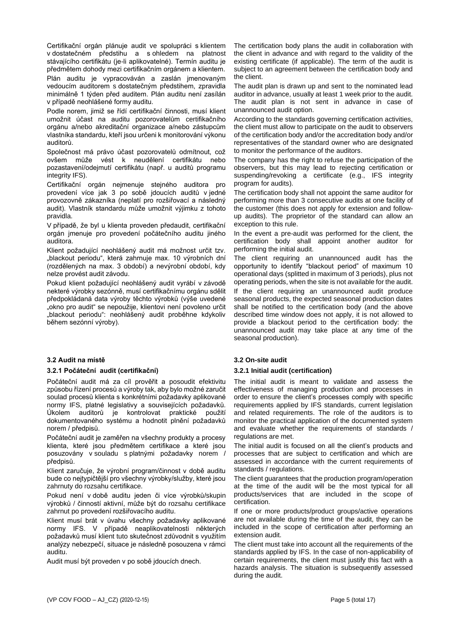Certifikační orgán plánuje audit ve spolupráci s klientem v dostatečném předstihu a s ohledem na platnost stávajícího certifikátu (je-li aplikovatelné). Termín auditu je předmětem dohody mezi certifikačním orgánem a klientem.

Plán auditu je vypracováván a zaslán jmenovaným vedoucím auditorem s dostatečným předstihem, zpravidla minimálně 1 týden před auditem. Plán auditu není zasílán v případě neohlášené formy auditu.

Podle norem, jimiž se řídí certifikační činnosti, musí klient umožnit účast na auditu pozorovatelům certifikačního orgánu a/nebo akreditační organizace a/nebo zástupcům vlastníka standardu, kteří jsou určeni k monitorování výkonu auditorů.

Společnost má právo účast pozorovatelů odmítnout, což ovšem může vést k neudělení certifikátu nebo pozastavení/odejmutí certifikátu (např. u auditů programu integrity IFS).

Certifikační orgán nejmenuje stejného auditora pro provedení více jak 3 po sobě jdoucích auditů v jedné provozovně zákazníka (neplatí pro rozšiřovací a následný audit). Vlastník standardu může umožnit výjimku z tohoto pravidla.

V případě, že byl u klienta proveden předaudit, certifikační orgán jmenuje pro provedení počátečního auditu jiného auditora.

Klient požadující neohlášený audit má možnost určit tzv. "blackout periodu", která zahrnuje max. 10 výrobních dní (rozdělených na max. 3 období) a nevýrobní období, kdy nelze provést audit závodu.

Pokud klient požadující neohlášený audit vyrábí v závodě nekteré výrobky sezónně, musí certifikačnímu orgánu sdělit předpokládaná data výroby těchto výrobků (výše uvedené "okno pro audit" se nepoužije, klientovi není povoleno určit "blackout periodu": neohlášený audit proběhne kdykoliv během sezónní výroby).

## **3.2 Audit na místě 3.2 On-site audit**

## **3.2.1 Počáteční audit (certifikační) 3.2.1 Initial audit (certification)**

Počáteční audit má za cíl prověřit a posoudit efektivitu způsobu řízení procesů a výroby tak, aby bylo možné zaručit soulad procesů klienta s konkrétními požadavky aplikované normy IFS, platné legislativy a souvisejících požadavků. Úkolem auditorů je kontrolovat praktické použití dokumentovaného systému a hodnotit plnění požadavků norem / předpisů.

Počáteční audit je zaměřen na všechny produkty a procesy klienta, které jsou předmětem certifikace a které jsou posuzovány v souladu s platnými požadavky norem / předpisů.

Klient zaručuje, že výrobní program/činnost v době auditu bude co nejtypičtější pro všechny výrobky/služby, které jsou zahrnuty do rozsahu certifikace.

Pokud není v době auditu jeden či více výrobků/skupin výrobků / činností aktivní, může být do rozsahu certifikace zahrnut po provedení rozšiřovacího auditu.

Klient musí brát v úvahu všechny požadavky aplikované normy IFS. V případě neaplikovatelnosti některých požadavků musí klient tuto skutečnost zdůvodnit s využitím analýzy nebezpečí, situace je následně posouzena v rámci auditu.

Audit musí být proveden v po sobě jdoucích dnech.

The certification body plans the audit in collaboration with the client in advance and with regard to the validity of the existing certificate (if applicable). The term of the audit is subject to an agreement between the certification body and the client.

The audit plan is drawn up and sent to the nominated lead auditor in advance, usually at least 1 week prior to the audit. The audit plan is not sent in advance in case of unannounced audit option.

According to the standards governing certification activities, the client must allow to participate on the audit to observers of the certification body and/or the accreditation body and/or representatives of the standard owner who are designated to monitor the performance of the auditors.

The company has the right to refuse the participation of the observers, but this may lead to rejecting certification or suspending/revoking a certificate (e.g., IFS integrity program for audits).

The certification body shall not appoint the same auditor for performing more than 3 consecutive audits at one facility of the customer (this does not apply for extension and followup audits). The proprietor of the standard can allow an exception to this rule.

In the event a pre-audit was performed for the client, the certification body shall appoint another auditor for performing the initial audit.

The client requiring an unannounced audit has the opportunity to identify "blackout period" of maximum 10 operational days (splitted in maximum of 3 periods), plus not operating periods, when the site is not available for the audit. If the client requiring an unannounced audit produce seasonal products, the expected seasonal production dates shall be notified to the certification body (and the above described time window does not apply, it is not allowed to provide a blackout period to the certification body: the unannounced audit may take place at any time of the seasonal production).

The initial audit is meant to validate and assess the effectiveness of managing production and processes in order to ensure the client's processes comply with specific requirements applied by IFS standards, current legislation and related requirements. The role of the auditors is to monitor the practical application of the documented system and evaluate whether the requirements of standards / regulations are met.

The initial audit is focused on all the client's products and processes that are subject to certification and which are assessed in accordance with the current requirements of standards / regulations.

The client guarantees that the production program/operation at the time of the audit will be the most typical for all products/services that are included in the scope of certification.

If one or more products/product groups/active operations are not available during the time of the audit, they can be included in the scope of certification after performing an extension audit.

The client must take into account all the requirements of the standards applied by IFS. In the case of non-applicability of certain requirements, the client must justify this fact with a hazards analysis. The situation is subsequently assessed during the audit.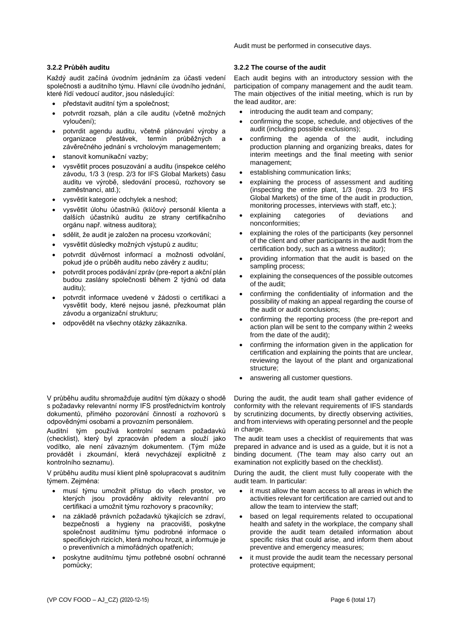Audit must be performed in consecutive days.

Každý audit začíná úvodním jednáním za účasti vedení společnosti a auditního týmu. Hlavní cíle úvodního jednání, které řídí vedoucí auditor, jsou následující:

- představit auditní tým a společnost;
- potvrdit rozsah, plán a cíle auditu (včetně možných vyloučení);
- potvrdit agendu auditu, včetně plánování výroby a organizace přestávek, termín průběžných a závěrečného jednání s vrcholovým managementem;
- stanovit komunikační vazby;
- vysvětlit proces posuzování a auditu (inspekce celého závodu, 1/3 3 (resp. 2/3 for IFS Global Markets) času auditu ve výrobě, sledování procesů, rozhovory se zaměstnanci, atd.);
- vysvětlit kategorie odchylek a neshod;
- vysvětlit úlohu účastníků (klíčový personál klienta a dalších účastníků auditu ze strany certifikačního orgánu např. witness auditora);
- sdělit, že audit je založen na procesu vzorkování;
- vysvětlit důsledky možných výstupů z auditu;
- potvrdit důvěrnost informací a možnosti odvolání, pokud jde o průběh auditu nebo závěry z auditu;
- potvrdit proces podávání zpráv (pre-report a akční plán budou zaslány společnosti během 2 týdnů od data auditu);
- potvrdit informace uvedené v žádosti o certifikaci a vysvětlit body, které nejsou jasné, přezkoumat plán závodu a organizační strukturu;
- odpovědět na všechny otázky zákazníka.

V průběhu auditu shromažďuje auditní tým důkazy o shodě s požadavky relevantní normy IFS prostřednictvím kontroly dokumentů, přímého pozorování činností a rozhovorů s odpovědnými osobami a provozním personálem.

Auditní tým používá kontrolní seznam požadavků (checklist), který byl zpracován předem a slouží jako vodítko, ale není závazným dokumentem. (Tým může provádět i zkoumání, která nevycházejí explicitně z kontrolního seznamu).

V průběhu auditu musí klient plně spolupracovat s auditním týmem. Zejména:

- musí týmu umožnit přístup do všech prostor, ve kterých jsou prováděny aktivity relevantní pro certifikaci a umožnit týmu rozhovory s pracovníky;
- na základě právních požadavků týkajících se zdraví, bezpečnosti a hygieny na pracovišti, poskytne společnost auditnímu týmu podrobné informace o specifických rizicích, která mohou hrozit, a informuje je o preventivních a mimořádných opatřeních;
- poskytne auditnímu týmu potřebné osobní ochranné pomůcky;

## **3.2.2 Průběh auditu 3.2.2 The course of the audit**

Each audit begins with an introductory session with the participation of company management and the audit team. The main objectives of the initial meeting, which is run by the lead auditor, are:

- introducing the audit team and company;
- confirming the scope, schedule, and objectives of the audit (including possible exclusions);
- confirming the agenda of the audit, including production planning and organizing breaks, dates for interim meetings and the final meeting with senior management;
- establishing communication links;
- explaining the process of assessment and auditing (inspecting the entire plant, 1/3 (resp. 2/3 fro IFS Global Markets) of the time of the audit in production, monitoring processes, interviews with staff, etc.);
- explaining categories of deviations and nonconformities;
- explaining the roles of the participants (key personnel of the client and other participants in the audit from the certification body, such as a witness auditor);
- providing information that the audit is based on the sampling process;
- explaining the consequences of the possible outcomes of the audit;
- confirming the confidentiality of information and the possibility of making an appeal regarding the course of the audit or audit conclusions;
- confirming the reporting process (the pre-report and action plan will be sent to the company within 2 weeks from the date of the audit);
- confirming the information given in the application for certification and explaining the points that are unclear, reviewing the layout of the plant and organizational structure;
- answering all customer questions.

During the audit, the audit team shall gather evidence of conformity with the relevant requirements of IFS standards by scrutinizing documents, by directly observing activities, and from interviews with operating personnel and the people in charge.

The audit team uses a checklist of requirements that was prepared in advance and is used as a guide, but it is not a binding document. (The team may also carry out an examination not explicitly based on the checklist).

During the audit, the client must fully cooperate with the audit team. In particular:

- it must allow the team access to all areas in which the activities relevant for certification are carried out and to allow the team to interview the staff;
- based on legal requirements related to occupational health and safety in the workplace, the company shall provide the audit team detailed information about specific risks that could arise, and inform them about preventive and emergency measures;
- it must provide the audit team the necessary personal protective equipment;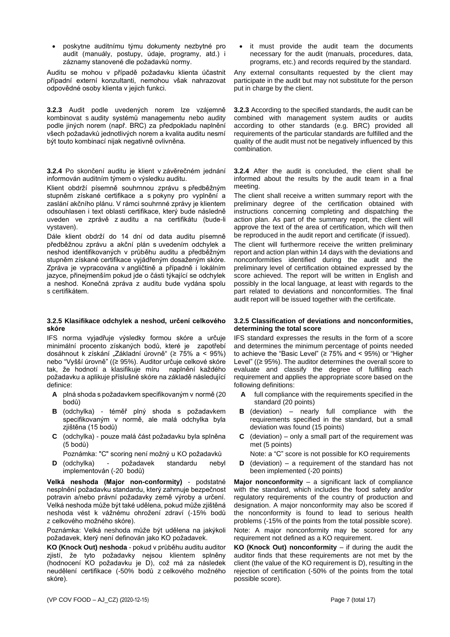• poskytne auditnímu týmu dokumenty nezbytné pro audit (manuály, postupy, údaje, programy, atd.) i záznamy stanovené dle požadavků normy.

Auditu se mohou v případě požadavku klienta účastnit případní externí konzultanti, nemohou však nahrazovat odpovědné osoby klienta v jejich funkci.

**3.2.3** Audit podle uvedených norem lze vzájemně kombinovat s audity systémů managementu nebo audity podle jiných norem (např. BRC) za předpokladu naplnění všech požadavků jednotlivých norem a kvalita auditu nesmí být touto kombinací nijak negativně ovlivněna.

**3.2.4** Po skončení auditu je klient v závěrečném jednání informován auditním týmem o výsledku auditu.

Klient obdrží písemně souhrnnou zprávu s předběžným stupněm získané certifikace a s pokyny pro vyplnění a zaslání akčního plánu. V rámci souhrnné zprávy je klientem odsouhlasen i text oblasti certifikace, který bude následně uveden ve zprávě z auditu a na certifikátu (bude-li vystaven).

Dále klient obdrží do 14 dní od data auditu písemně předběžnou zprávu a akční plán s uvedením odchylek a neshod identifikovaných v průběhu auditu a předběžným stupněm získané certifikace vyjádřeným dosaženým skóre. Zpráva je vypracována v angličtině a případně i lokálním jazyce, přinejmenším pokud jde o části týkající se odchylek a neshod. Konečná zpráva z auditu bude vydána spolu s certifikátem.

## **3.2.5 Klasifikace odchylek a neshod, určení celkového skóre**

IFS norma vyjadřuje výsledky formou skóre a určuje minimální procento získaných bodů, které je zapotřebí dosáhnout k získání "Základní úrovně" (≥ 75% a < 95%) nebo "Vyšší úrovně" ((≥ 95%). Auditor určuje celkové skóre tak, že hodnotí a klasifikuje míru naplnění každého požadavku a aplikuje příslušné skóre na základě následující definice:

- **A** plná shoda s požadavkem specifikovaným v normě (20 bodů)
- **B** (odchylka) téměř plný shoda s požadavkem specifikovaným v normě, ale malá odchylka byla zjištěna (15 bodů)
- **C** (odchylka) pouze malá část požadavku byla splněna (5 bodů)
	- Poznámka: "C" scoring není možný u KO požadavků
- **D** (odchylka) požadavek standardu nebyl implementován (-20 bodů)

**Velká neshoda (Major non-conformity)** - podstatné nesplnění požadavku standardu, který zahrnuje bezpečnost potravin a/nebo právní požadavky země výroby a určení. Velká neshoda může být také udělena, pokud může zjištěná neshoda vést k vážnému ohrožení zdraví (-15% bodů z celkového možného skóre).

Poznámka: Velká neshoda může být udělena na jakýkoli požadavek, který není definován jako KO požadavek.

**KO (Knock Out) neshoda** - pokud v průběhu auditu auditor zjistí, že tyto požadavky nejsou klientem splněny (hodnocení KO požadavku je D), což má za následek neudělení certifikace (-50% bodů z celkového možného skóre).

it must provide the audit team the documents necessary for the audit (manuals, procedures, data, programs, etc.) and records required by the standard.

Any external consultants requested by the client may participate in the audit but may not substitute for the person put in charge by the client.

**3.2.3** According to the specified standards, the audit can be combined with management system audits or audits according to other standards (e.g. BRC) provided all requirements of the particular standards are fulfilled and the quality of the audit must not be negatively influenced by this combination.

**3.2.4** After the audit is concluded, the client shall be informed about the results by the audit team in a final meeting.

The client shall receive a written summary report with the preliminary degree of the certification obtained with instructions concerning completing and dispatching the action plan. As part of the summary report, the client will approve the text of the area of certification, which will then be reproduced in the audit report and certificate (if issued).

The client will furthermore receive the written preliminary report and action plan within 14 days with the deviations and nonconformities identified during the audit and the preliminary level of certification obtained expressed by the score achieved. The report will be written in English and possibly in the local language, at least with regards to the part related to deviations and nonconformities. The final audit report will be issued together with the certificate.

## **3.2.5 Classification of deviations and nonconformities, determining the total score**

IFS standard expresses the results in the form of a score and determines the minimum percentage of points needed to achieve the "Basic Level" (≥ 75% and < 95%) or "Higher Level" ((≥ 95%). The auditor determines the overall score to evaluate and classify the degree of fulfilling each requirement and applies the appropriate score based on the following definitions:

- full compliance with the requirements specified in the standard (20 points)
- **B** (deviation) nearly full compliance with the requirements specified in the standard, but a small deviation was found (15 points)
- **C** (deviation) only a small part of the requirement was met (5 points)

Note: a "C" score is not possible for KO requirements

**D** (deviation) – a requirement of the standard has not been implemented (-20 points)

**Major nonconformity** – a significant lack of compliance with the standard, which includes the food safety and/or regulatory requirements of the country of production and designation. A major nonconformity may also be scored if the nonconformity is found to lead to serious health problems (-15% of the points from the total possible score).

Note: A major nonconformity may be scored for any requirement not defined as a KO requirement.

**KO (Knock Out) nonconformity** – if during the audit the auditor finds that these requirements are not met by the client (the value of the KO requirement is D), resulting in the rejection of certification (-50% of the points from the total possible score).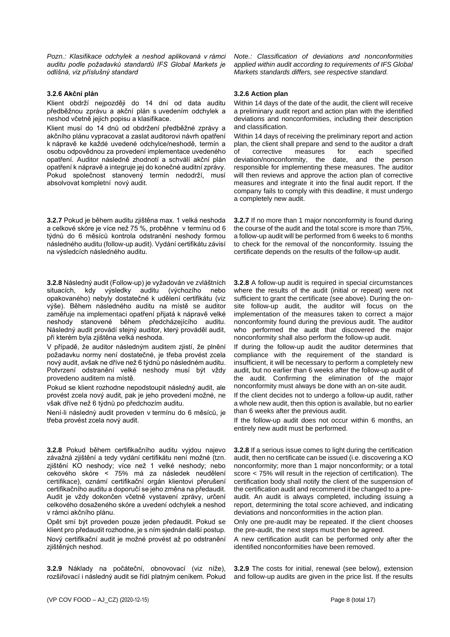*Pozn.: Klasifikace odchylek a neshod aplikovaná v rámci auditu podle požadavků standardů IFS Global Markets je odlišná, viz příslušný standard*

# **3.2.6 Akční plán**

Klient obdrží nejpozději do 14 dní od data auditu předběžnou zprávu a akční plán s uvedením odchylek a neshod včetně jejich popisu a klasifikace.

Klient musí do 14 dnů od obdržení předběžné zprávy a akčního plánu vypracovat a zaslat auditorovi návrh opatření k nápravě ke každé uvedené odchylce/neshodě, termín a osobu odpovědnou za provedení implementace uvedeného opatření. Auditor následně zhodnotí a schválí akční plán opatření k nápravě a integruje jej do konečné auditní zprávy. Pokud společnost stanovený termín nedodrží, musí absolvovat kompletní nový audit.

**3.2.7** Pokud je během auditu zjištěna max. 1 velká neshoda a celkové skóre je více než 75 %, proběhne v termínu od 6 týdnů do 6 měsíců kontrola odstranění neshody formou následného auditu (follow-up audit). Vydání certifikátu závisí na výsledcích následného auditu.

**3.2.8** Následný audit (Follow-up) je vyžadován ve zvláštních situacích, kdy výsledky auditu (výchozího nebo opakovaného) nebyly dostatečné k udělení certifikátu (viz výše). Během následného auditu na místě se auditor zaměřuje na implementaci opatření přijatá k nápravě velké neshody stanovené během předcházejícího auditu. Následný audit provádí stejný auditor, který prováděl audit, při kterém byla zjištěna velká neshoda.

V případě, že auditor následným auditem zjistí, že plnění požadavku normy není dostatečné, je třeba provést zcela nový audit, avšak ne dříve než 6 týdnů po následném auditu. Potvrzení odstranění velké neshody musí být vždy provedeno auditem na místě.

Pokud se klient rozhodne nepodstoupit následný audit, ale provést zcela nový audit, pak je jeho provedení možné, ne však dříve než 6 týdnů po předchozím auditu.

Není-li následný audit proveden v termínu do 6 měsíců, je třeba provést zcela nový audit.

**3.2.8** Pokud během certifikačního auditu vyjdou najevo závažná zjištění a tedy vydání certifikátu není možné (tzn. zjištění KO neshody; více než 1 velké neshody; nebo cekového skóre < 75% má za následek neudělení certifikace), oznámí certifikační orgán klientovi přerušení certifikačního auditu a doporučí se jeho změna na předaudit. Audit je vždy dokončen včetně vystavení zprávy, určení celkového dosaženého skóre a uvedení odchylek a neshod v rámci akčního plánu.

Opět smí být proveden pouze jeden předaudit. Pokud se klient pro předaudit rozhodne, je s ním sjednán další postup. Nový certifikační audit je možné provést až po odstranění zjištěných neshod.

**3.2.9** Náklady na počáteční, obnovovací (viz níže), rozšiřovací i následný audit se řídí platným ceníkem. Pokud *Note.: Classification of deviations and nonconformities applied within audit according to requirements of IFS Global Markets standards differs, see respective standard.*

# **3.2.6 Action plan**

Within 14 days of the date of the audit, the client will receive a preliminary audit report and action plan with the identified deviations and nonconformities, including their description and classification.

Within 14 days of receiving the preliminary report and action plan, the client shall prepare and send to the auditor a draft of corrective measures for each specified<br>deviation/nonconformity, the date, and the person deviation/nonconformity, the responsible for implementing these measures. The auditor will then reviews and approve the action plan of corrective measures and integrate it into the final audit report. If the company fails to comply with this deadline, it must undergo a completely new audit.

**3.2.7** If no more than 1 major nonconformity is found during the course of the audit and the total score is more than 75%, a follow-up audit will be performed from 6 weeks to 6 months to check for the removal of the nonconformity. Issuing the certificate depends on the results of the follow-up audit.

**3.2.8** A follow-up audit is required in special circumstances where the results of the audit (initial or repeat) were not sufficient to grant the certificate (see above). During the onsite follow-up audit, the auditor will focus on the implementation of the measures taken to correct a major nonconformity found during the previous audit. The auditor who performed the audit that discovered the major nonconformity shall also perform the follow-up audit.

If during the follow-up audit the auditor determines that compliance with the requirement of the standard is insufficient, it will be necessary to perform a completely new audit, but no earlier than 6 weeks after the follow-up audit of the audit. Confirming the elimination of the major nonconformity must always be done with an on-site audit.

If the client decides not to undergo a follow-up audit, rather a whole new audit, then this option is available, but no earlier than 6 weeks after the previous audit.

If the follow-up audit does not occur within 6 months, an entirely new audit must be performed.

**3.2.8** If a serious issue comes to light during the certification audit, then no certificate can be issued (i.e. discovering a KO nonconformity; more than 1 major nonconformity; or a total score < 75% will result in the rejection of certification). The certification body shall notify the client of the suspension of the certification audit and recommend it be changed to a preaudit. An audit is always completed, including issuing a report, determining the total score achieved, and indicating deviations and nonconformities in the action plan.

Only one pre-audit may be repeated. If the client chooses the pre-audit, the next steps must then be agreed.

A new certification audit can be performed only after the identified nonconformities have been removed.

**3.2.9** The costs for initial, renewal (see below), extension and follow-up audits are given in the price list. If the results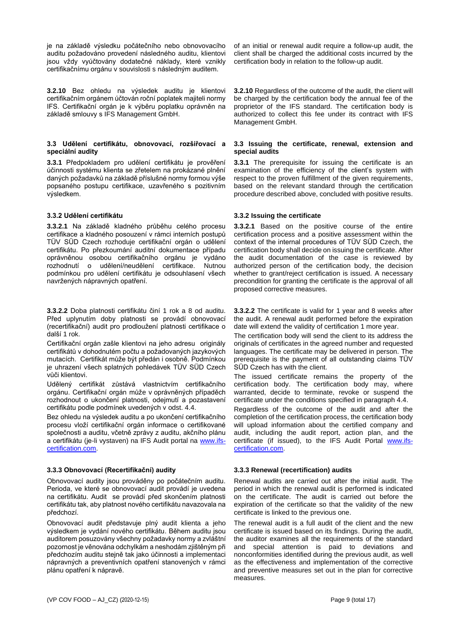je na základě výsledku počátečního nebo obnovovacího auditu požadováno provedení následného auditu, klientovi jsou vždy vyúčtovány dodatečné náklady, které vznikly certifikačnímu orgánu v souvislosti s následným auditem.

**3.2.10** Bez ohledu na výsledek auditu je klientovi certifikačním orgánem účtován roční poplatek majiteli normy IFS. Certifikační orgán je k výběru poplatku oprávněn na základě smlouvy s IFS Management GmbH.

## **3.3 Udělení certifikátu, obnovovací, rozšiřovací a speciální audity**

**3.3.1** Předpokladem pro udělení certifikátu je prověření účinnosti systému klienta se zřetelem na prokázané plnění daných požadavků na základě příslušné normy formou výše popsaného postupu certifikace, uzavřeného s pozitivním výsledkem.

**3.3.2.1** Na základě kladného průběhu celého procesu certifikace a kladného posouzení v rámci interních postupů TÜV SÜD Czech rozhoduje certifikační orgán o udělení certifikátu. Po přezkoumání auditní dokumentace případu oprávněnou osobou certifikačního orgánu je vydáno rozhodnutí o udělení/neudělení certifikace. Nutnou podmínkou pro udělení certifikátu je odsouhlasení všech navržených nápravných opatření.

**3.3.2.2** Doba platnosti certifikátu činí 1 rok a 8 od auditu. Před uplynutím doby platnosti se provádí obnovovací (recertifikační) audit pro prodloužení platnosti certifikace o další 1 rok.

Certifikační orgán zašle klientovi na jeho adresu originály certifikátů v dohodnutém počtu a požadovaných jazykových mutacích. Certifikát může být předán i osobně. Podmínkou je uhrazení všech splatných pohledávek TÜV SÜD Czech vůči klientovi.

Udělený certifikát zůstává vlastnictvím certifikačního orgánu. Certifikační orgán může v oprávněných případěch rozhodnout o ukončení platnosti, odejmutí a pozastavení certifikátu podle podmínek uvedených v odst. 4.4.

Bez ohledu na výsledek auditu a po ukončení certifikačního procesu vloží certifikační orgán informace o certifikované společnosti a auditu, včetně zprávy z auditu, akčního plánu a certifikátu (je-li vystaven) na IFS Audit portal na [www.ifs](http://www.ifs-certification.com/)[certification.com.](http://www.ifs-certification.com/)

# **3.3.3 Obnovovací (Recertifikační) audity 3.3.3 Renewal (recertification) audits**

Obnovovací audity jsou prováděny po počátečním auditu. Perioda, ve které se obnovovací audit provádí je uvedena na certifikátu. Audit se provádí před skončením platnosti certifikátu tak, aby platnost nového certifikátu navazovala na předchozí.

Obnovovací audit představuje plný audit klienta a jeho výsledkem je vydání nového certifikátu. Během auditu jsou auditorem posuzovány všechny požadavky normy a zvláštní pozornost je věnována odchylkám a neshodám zjištěným při předchozím auditu stejně tak jako účinnosti a implementaci nápravných a preventivních opatření stanovených v rámci plánu opatření k nápravě.

of an initial or renewal audit require a follow-up audit, the client shall be charged the additional costs incurred by the certification body in relation to the follow-up audit.

**3.2.10** Regardless of the outcome of the audit, the client will be charged by the certification body the annual fee of the proprietor of the IFS standard. The certification body is authorized to collect this fee under its contract with IFS Management GmbH.

### **3.3 Issuing the certificate, renewal, extension and special audits**

**3.3.1** The prerequisite for issuing the certificate is an examination of the efficiency of the client's system with respect to the proven fulfillment of the given requirements, based on the relevant standard through the certification procedure described above, concluded with positive results.

# **3.3.2 Udělení certifikátu 3.3.2 Issuing the certificate**

**3.3.2.1** Based on the positive course of the entire certification process and a positive assessment within the context of the internal procedures of TÜV SÜD Czech, the certification body shall decide on issuing the certificate. After the audit documentation of the case is reviewed by authorized person of the certification body, the decision whether to grant/reject certification is issued. A necessary precondition for granting the certificate is the approval of all proposed corrective measures.

**3.3.2.2** The certificate is valid for 1 year and 8 weeks after the audit. A renewal audit performed before the expiration date will extend the validity of certification 1 more year.

The certification body will send the client to its address the originals of certificates in the agreed number and requested languages. The certificate may be delivered in person. The prerequisite is the payment of all outstanding claims TÜV SÜD Czech has with the client.

The issued certificate remains the property of the certification body. The certification body may, where warranted, decide to terminate, revoke or suspend the certificate under the conditions specified in paragraph 4.4.

Regardless of the outcome of the audit and after the completion of the certification process, the certification body will upload information about the certified company and audit, including the audit report, action plan, and the certificate (if issued), to the IFS Audit Portal [www.ifs](http://www.ifs-certification.com/)[certification.com.](http://www.ifs-certification.com/)

Renewal audits are carried out after the initial audit. The period in which the renewal audit is performed is indicated on the certificate. The audit is carried out before the expiration of the certificate so that the validity of the new certificate is linked to the previous one.

The renewal audit is a full audit of the client and the new certificate is issued based on its findings. During the audit, the auditor examines all the requirements of the standard and special attention is paid to deviations and nonconformities identified during the previous audit, as well as the effectiveness and implementation of the corrective and preventive measures set out in the plan for corrective measures.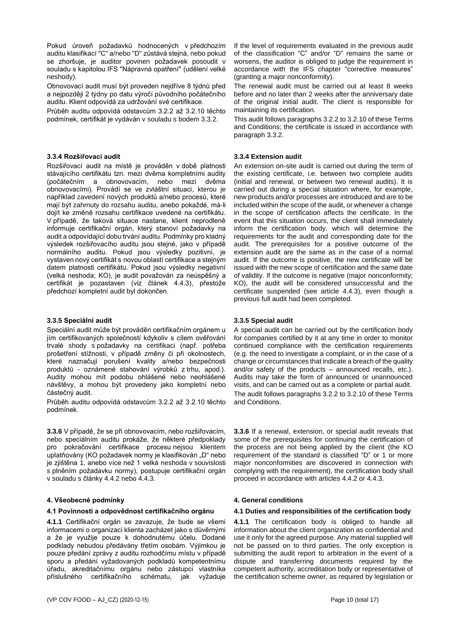Pokud úroveň požadavků hodnocených v předchozím auditu klasifikací "C" a/nebo "D" zůstává stejná, nebo pokud se zhoršuje, je auditor povinen požadavek posoudit v souladu s kapitolou IFS "Nápravná opatření" (udělení velké neshody).

Obnovovací audit musí být proveden nejdříve 8 týdnů před a nejpozději 2 týdny po datu výročí původního počátečního auditu. Klient odpovídá za udržování své certifikace.

Průběh auditu odpovídá odstavcům 3.2.2 až 3.2.10 těchto podmínek, certifikát je vydáván v souladu s bodem 3.3.2.

### **3.3.4 Rozšiřovací audit**

Rozšiřovací audit na místě je prováděn v době platnosti stávajícího certifikátu tzn. mezi dvěma kompletními audity (počátečním a obnovovacím, nebo mezi dvěma obnovovacími). Provádí se ve zvláštní situaci, kterou je například zavedení nových produktů a/nebo procesů, které mají být zahrnuty do rozsahu auditu, anebo pokaždé, má-li dojít ke změně rozsahu certifikace uvedené na certifikátu. V případě, že taková situace nastane, klient neprodleně informuje certifikační orgán, který stanoví požadavky na audit a odpovídající dobu trvání auditu. Podmínky pro kladný výsledek rozšiřovacího auditu jsou stejné, jako v případě normálního auditu. Pokud jsou výsledky pozitivní, je vystaven nový certifikát s novou oblastí certifikace a stejným datem platnosti certifikátu. Pokud jsou výsledky negativní (velká neshoda; KO), je audit považován za neúspěšný a certifikát je pozastaven (viz článek 4.4.3), přestože předchozí kompletní audit byl dokončen.

## **3.3.5 Speciální audit**

Speciální audit může být prováděn certifikačním orgánem u jím certifikovaných společností kdykoliv s cílem ověřování trvalé shody s požadavky na certifikaci (např. potřeba prošetření stížnosti, v případě změny či při okolnostech, které naznačují porušení kvality a/nebo bezpečnosti produktů - oznámené stahování výrobků z trhu, apod.). Audity mohou mít podobu ohlášené nebo neohlášené návštěvy, a mohou být provedeny jako kompletní nebo částečný audit.

Průběh auditu odpovídá odstavcům 3.2.2 až 3.2.10 těchto podmínek.

**3.3.6** V případě, že se při obnovovacím, nebo rozšiřovacím, nebo speciálním auditu prokáže, že některé předpoklady pro pokračování certifikace procesu nejsou klientem uplatňovány (KO požadavek normy je klasifikován "D" nebo je zjištěna 1, anebo více než 1 velká neshoda v souvislosti s plněním požadavku normy), postupuje certifikační orgán v souladu s články 4.4.2 nebo 4.4.3.

## **4. Všeobecné podmínky 4. General conditions**

**4.1.1** Certifikační orgán se zavazuje, že bude se všemi informacemi o organizaci klienta zacházet jako s důvěrnými a že je využije pouze k dohodnutému účelu. Dodané podklady nebudou předávány třetím osobám. Výjimkou je pouze předání zprávy z auditu rozhodčímu místu v případě sporu a předání vyžadovaných podkladů kompetentnímu úřadu, akreditačnímu orgánu nebo zástupci vlastníka příslušného certifikačního schématu, jak vyžaduje If the level of requirements evaluated in the previous audit of the classification "C" and/or "D" remains the same or worsens, the auditor is obliged to judge the requirement in accordance with the IFS chapter "corrective measures" (granting a major nonconformity).

The renewal audit must be carried out at least 8 weeks before and no later than 2 weeks after the anniversary date of the original initial audit. The client is responsible for maintaining its certification.

This audit follows paragraphs 3.2.2 to 3.2.10 of these Terms and Conditions; the certificate is issued in accordance with paragraph 3.3.2.

### **3.3.4 Extension audit**

An extension on-site audit is carried out during the term of the existing certificate, i.e. between two complete audits (initial and renewal, or between two renewal audits). It is carried out during a special situation where, for example, new products and/or processes are introduced and are to be included within the scope of the audit, or whenever a change in the scope of certification affects the certificate. In the event that this situation occurs, the client shall immediately inform the certification body, which will determine the requirements for the audit and corresponding date for the audit. The prerequisites for a positive outcome of the extension audit are the same as in the case of a normal audit. If the outcome is positive, the new certificate will be issued with the new scope of certification and the same date of validity. If the outcome is negative (major nonconformity; KO), the audit will be considered unsuccessful and the certificate suspended (see article 4.4.3), even though a previous full audit had been completed.

### **3.3.5 Special audit**

A special audit can be carried out by the certification body for companies certified by it at any time in order to monitor continued compliance with the certification requirements (e.g. the need to investigate a complaint, or in the case of a change or circumstances that indicate a breach of the quality and/or safety of the products – announced recalls, etc.). Audits may take the form of announced or unannounced visits, and can be carried out as a complete or partial audit. The audit follows paragraphs 3.2.2 to 3.2.10 of these Terms and Conditions.

**3.3.6** If a renewal, extension, or special audit reveals that some of the prerequisites for continuing the certification of the process are not being applied by the client (the KO requirement of the standard is classified "D" or 1 or more major nonconformities are discovered in connection with complying with the requirement), the certification body shall proceed in accordance with articles 4.4.2 or 4.4.3.

### **4.1 Povinnosti a odpovědnost certifikačního orgánu 4.1 Duties and responsibilities of the certification body**

**4.1.1** The certification body is obliged to handle all information about the client organization as confidential and use it only for the agreed purpose. Any material supplied will not be passed on to third parties. The only exception is submitting the audit report to arbitration in the event of a dispute and transferring documents required by the competent authority, accreditation body or representative of the certification scheme owner, as required by legislation or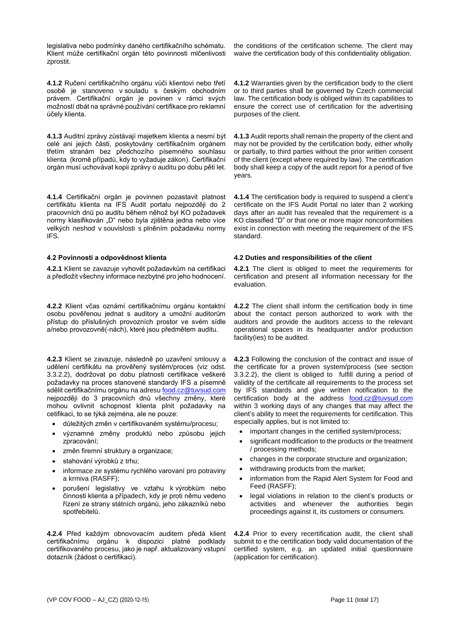legislativa nebo podmínky daného certifikačního schématu. Klient může certifikační orgán této povinnosti mlčenlivosti zprostit.

**4.1.2** Ručení certifikačního orgánu vůči klientovi nebo třetí osobě je stanoveno v souladu s českým obchodním právem. Certifikační orgán je povinen v rámci svých možností dbát na správné používání certifikace pro reklamní účely klienta.

**4.1.3** Auditní zprávy zůstávají majetkem klienta a nesmí být celé ani jejich části, poskytovány certifikačním orgánem třetím stranám bez předchozího písemného souhlasu klienta (kromě případů, kdy to vyžaduje zákon). Certifikační orgán musí uchovávat kopii zprávy o auditu po dobu pěti let.

**4.1.4** Certifikační orgán je povinnen pozastavit platnost certifikátu klienta na IFS Audit portalu nejpozději do 2 pracovních dnů po auditu během něhož byl KO požadavek normy klasifikován "D" nebo byla zjištěna jedna nebo více velkých neshod v souvislosti s plněním požadavku normy IFS.

**4.2.1** Klient se zavazuje vyhovět požadavkům na certifikaci a předložit všechny informace nezbytné pro jeho hodnocení.

**4.2.2** Klient včas oznámí certifikačnímu orgánu kontaktní osobu pověřenou jednat s auditory a umožní auditorům přístup do příslušných provozních prostor ve svém sídle a/nebo provozovně(-nách), které jsou předmětem auditu.

**4.2.3** Klient se zavazuje, následně po uzavření smlouvy a udělení certifikátu na prověřený systém/proces (viz odst. 3.3.2.2), dodržovat po dobu platnosti certifikace veškeré požadavky na proces stanovené standardy IFS a písemně sdělit certifikačnímu orgánu na adres[u food.cz@tuvsud.com](mailto:food.cz@tuvsud.com) nejpozději do 3 pracovních dnů všechny změny, které mohou ovlivnit schopnost klienta plnit požadavky na cetifikaci, to se týká zejména, ale ne pouze:

- důležitých změn v certifikovaném systému/procesu;
- významné změny produktů nebo způsobu jejich zpracování;
- změn firemní struktury a organizace;
- stahování výrobků z trhu;
- informace ze systému rychlého varovaní pro potraviny a krmiva (RASFF);
- porušení legislativy ve vztahu k výrobkům nebo činnosti klienta a případech, kdy je proti němu vedeno řízení ze strany státních orgánů, jeho zákazníků nebo spotřebitelů.

**4.2.4** Před každým obnovovacím auditem předá klient certifikačnímu orgánu k dispozici platné podklady certifikovaného procesu, jako je např. aktualizovaný vstupní dotazník (žádost o certifikaci).

the conditions of the certification scheme. The client may waive the certification body of this confidentiality obligation.

**4.1.2** Warranties given by the certification body to the client or to third parties shall be governed by Czech commercial law. The certification body is obliged within its capabilities to ensure the correct use of certification for the advertising purposes of the client.

**4.1.3** Audit reports shall remain the property of the client and may not be provided by the certification body, either wholly or partially, to third parties without the prior written consent of the client (except where required by law). The certification body shall keep a copy of the audit report for a period of five years.

**4.1.4** The certification body is required to suspend a client's certificate on the IFS Audit Portal no later than 2 working days after an audit has revealed that the requirement is a KO classified "D" or that one or more major nonconformities exist in connection with meeting the requirement of the IFS standard.

### **4.2 Povinnosti a odpovědnost klienta 4.2 Duties and responsibilities of the client**

**4.2.1** The client is obliged to meet the requirements for certification and present all information necessary for the evaluation.

**4.2.2** The client shall inform the certification body in time about the contact person authorized to work with the auditors and provide the auditors access to the relevant operational spaces in its headquarter and/or production facility(ies) to be audited.

**4.2.3** Following the conclusion of the contract and issue of the certificate for a proven system/process (see section 3.3.2.2), the client is obliged to fulfill during a period of validity of the certificate all requirements to the process set by IFS standards and give written notification to the certification body at the address [food.cz@tuvsud.com](mailto:food.cz@tuvsud.com) within 3 working days of any changes that may affect the client's ability to meet the requirements for certification. This especially applies, but is not limited to:

- important changes in the certified system/process;
- significant modification to the products or the treatment / processing methods;
- changes in the corporate structure and organization;
- withdrawing products from the market;
- information from the Rapid Alert System for Food and Feed (RASFF);
- legal violations in relation to the client's products or activities and whenever the authorities begin proceedings against it, its customers or consumers.

**4.2.4** Prior to every recertification audit, the client shall submit to e the certification body valid documentation of the certified system, e.g. an updated initial questionnaire (application for certification).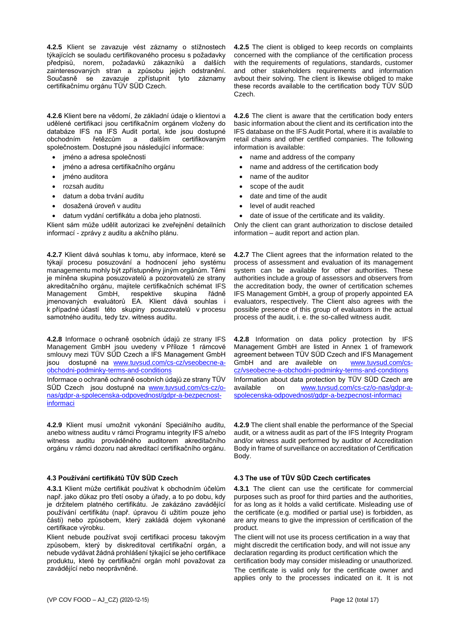**4.2.5** Klient se zavazuje vést záznamy o stížnostech týkajících se souladu certifikovaného procesu s požadavky předpisů, norem, požadavků zákazníků a dalších zainteresovaných stran a způsobu jejich odstranění. Současně se zavazuje zpřístupnit tyto záznamy certifikačnímu orgánu TÜV SÜD Czech.

**4.2.6** Klient bere na vědomí, že základní údaje o klientovi a udělené certifikaci jsou certifikačním orgánem vloženy do databáze IFS na IFS Audit portal, kde jsou dostupné obchodním řetězcům a dalším certifikovaným společnostem. Dostupné jsou následující informace:

- jméno a adresa společnosti
- jméno a adresa certifikačního orgánu
- jméno auditora
- rozsah auditu
- datum a doba trvání auditu
- dosažená úroveň v auditu
- datum vydání certifikátu a doba jeho platnosti.

Klient sám může udělit autorizaci ke zveřejnění detailních informací - zprávy z auditu a akčního plánu.

**4.2.7** Klient dává souhlas k tomu, aby informace, které se týkají procesu posuzování a hodnocení jeho systému managementu mohly být zpřístupněny jiným orgánům. Těmi je míněna skupina posuzovatelů a pozorovatelů ze strany akreditačního orgánu, majitele certifikačních schémat IFS<br>Management GmbH, respektive skupina řádně Management jmenovaných evaluátorů EA. Klient dává souhlas i k případné účastí této skupiny posuzovatelů v procesu samotného auditu, tedy tzv. witness auditu.

**4.2.8** Informace o ochraně osobních údajů ze strany IFS Management GmbH jsou uvedeny v Příloze 1 rámcové smlouvy mezi TÜV SÜD Czech a IFS Management GmbH jsou dostupné na [www.tuvsud.com/cs-cz/vseobecne-a](http://www.tuvsud.com/cs-cz/vseobecne-a-obchodni-podminky-terms-and-conditions)[obchodni-podminky-terms-and-conditions](http://www.tuvsud.com/cs-cz/vseobecne-a-obchodni-podminky-terms-and-conditions)

Informace o ochraně ochraně osobních údajů ze strany TÜV SÜD Czech jsou dostupné na [www.tuvsud.com/cs-cz/o](https://www.tuvsud.com/cs-cz/o-nas/gdpr-a-spolecenska-odpovednost/gdpr-a-bezpecnost-informaci)[nas/gdpr-a-spolecenska-odpovednost/gdpr-a-bezpecnost](https://www.tuvsud.com/cs-cz/o-nas/gdpr-a-spolecenska-odpovednost/gdpr-a-bezpecnost-informaci)[informaci](https://www.tuvsud.com/cs-cz/o-nas/gdpr-a-spolecenska-odpovednost/gdpr-a-bezpecnost-informaci)

**4.2.9** Klient musí umožnit vykonání Speciálního auditu, anebo witness auditu v rámci Programu integrity IFS a/nebo witness auditu prováděného auditorem akreditačního orgánu v rámci dozoru nad akreditací certifikačního orgánu.

## **4.3 Používání certifikátů TÜV SÜD Czech 4.3 The use of TÜV SÜD Czech certificates**

**4.3.1** Klient může certifikát používat k obchodním účelům např. jako důkaz pro třetí osoby a úřady, a to po dobu, kdy je držitelem platného certifikátu. Je zakázáno zavádějící používání certifikátu (např. úpravou či užitím pouze jeho části) nebo způsobem, který zakládá dojem vykonané certifikace výrobku.

Klient nebude používat svoji certifikaci procesu takovým způsobem, který by diskreditoval certifikační orgán, a nebude vydávat žádná prohlášení týkající se jeho certifikace produktu, které by certifikační orgán mohl považovat za zavádějící nebo neoprávněné.

**4.2.5** The client is obliged to keep records on complaints concerned with the compliance of the certification process with the requirements of regulations, standards, customer and other stakeholders requirements and information avbout their solving. The client is likewise obliged to make these records available to the certification body TÜV SÜD Czech.

**4.2.6** The client is aware that the certification body enters basic information about the client and its certification into the IFS database on the IFS Audit Portal, where it is available to retail chains and other certified companies. The following information is available:

- name and address of the company
- name and address of the certification body
- name of the auditor
- scope of the audit
- date and time of the audit
- level of audit reached
- date of issue of the certificate and its validity.

Only the client can grant authorization to disclose detailed information – audit report and action plan.

**4.2.7** The Client agrees that the information related to the process of assessment and evaluation of its management system can be available for other authorities. These authorities include a group of assessors and observers from the accreditation body, the owner of certification schemes IFS Management GmbH, a group of properly appointed EA evaluators, respectively. The Client also agrees with the possible presence of this group of evaluators in the actual process of the audit, i. e. the so-called witness audit.

**4.2.8** Information on data policy protection by IFS Management GmbH are listed in Annex 1 of framework agreement between TÜV SÜD Czech and IFS Management GmbH and are availeble on [www.tuvsud.com/cs](http://www.tuvsud.com/cs-cz/vseobecne-a-obchodni-podminky-terms-and-conditions)[cz/vseobecne-a-obchodni-podminky-terms-and-conditions](http://www.tuvsud.com/cs-cz/vseobecne-a-obchodni-podminky-terms-and-conditions) Information about data protection by TÜV SÜD Czech are available on [www.tuvsud.com/cs-cz/o-nas/gdpr-a](https://www.tuvsud.com/cs-cz/o-nas/gdpr-a-spolecenska-odpovednost/gdpr-a-bezpecnost-informaci)[spolecenska-odpovednost/gdpr-a-bezpecnost-informaci](https://www.tuvsud.com/cs-cz/o-nas/gdpr-a-spolecenska-odpovednost/gdpr-a-bezpecnost-informaci)

**4.2.9** The client shall enable the performance of the Special audit, or a witness audit as part of the IFS Integrity Program and/or witness audit performed by auditor of Accreditation Body in frame of surveillance on accreditation of Certification Body.

**4.3.1** The client can use the certificate for commercial purposes such as proof for third parties and the authorities, for as long as it holds a valid certificate. Misleading use of the certificate (e.g. modified or partial use) is forbidden, as are any means to give the impression of certification of the product.

The client will not use its process certification in a way that might discredit the certification body, and will not issue any declaration regarding its product certification which the

certification body may consider misleading or unauthorized. The certificate is valid only for the certificate owner and applies only to the processes indicated on it. It is not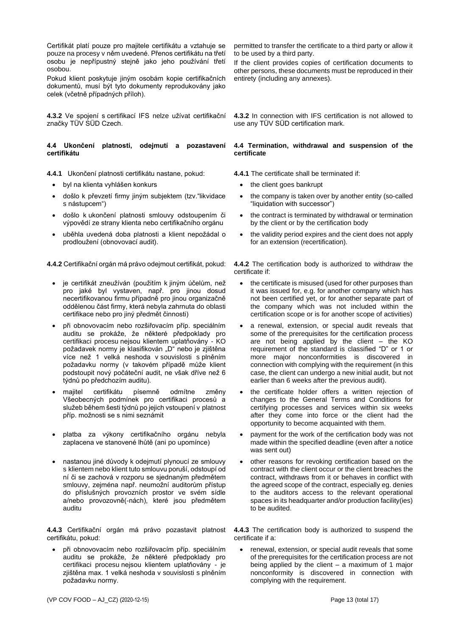Certifikát platí pouze pro majitele certifikátu a vztahuje se pouze na procesy v něm uvedené. Přenos certifikátu na třetí osobu je nepřípustný stejně jako jeho používání třetí osobou.

Pokud klient poskytuje jiným osobám kopie certifikačních dokumentů, musí být tyto dokumenty reprodukovány jako celek (včetně případných příloh).

**4.3.2** Ve spojení s certifikací IFS nelze užívat certifikační značky TÜV SÜD Czech.

## **4.4 Ukončení platnosti, odejmutí a pozastavení certifikátu**

**4.4.1** Ukončení platnosti certifikátu nastane, pokud: **4.4.1** The certificate shall be terminated if:

- byl na klienta vyhlášen konkurs the client goes bankrupt
- došlo k převzetí firmy jiným subjektem (tzv."likvidace s nástupcem")
- došlo k ukončení platnosti smlouvy odstoupením či výpovědí ze strany klienta nebo certifikačního orgánu
- uběhla uvedená doba platnosti a klient nepožádal o prodloužení (obnovovací audit).

**4.4.2** Certifikační orgán má právo odejmout certifikát, pokud: **4.4.2** The certification body is authorized to withdraw the

- je certifikát zneužíván (použitím k jiným účelům, než pro jaké byl vystaven, např. pro jinou dosud necertifikovanou firmu případně pro jinou organizačně oddělenou část firmy, která nebyla zahrnuta do oblasti certifikace nebo pro jiný předmět činnosti)
- při obnovovacím nebo rozšiřovacím příp. speciálním auditu se prokáže, že některé předpoklady pro certifikaci procesu nejsou klientem uplatňovány - KO požadavek normy je klasifikován "D" nebo je zjištěna více než 1 velká neshoda v souvislosti s plněním požadavku normy (v takovém případě může klient podstoupit nový počáteční audit, ne však dříve než 6 týdnů po předchozím auditu).
- majitel certifikátu písemně odmítne změny Všeobecných podmínek pro certifikaci procesů a služeb během šesti týdnů po jejich vstoupení v platnost příp. možnosti se s nimi seznámit
- platba za výkony certifikačního orgánu nebyla zaplacena ve stanovené lhůtě (ani po upomínce)
- nastanou jiné důvody k odejmutí plynoucí ze smlouvy s klientem nebo klient tuto smlouvu poruší, odstoupí od ní či se zachová v rozporu se sjednaným předmětem smlouvy, zejména např. neumožní auditorům přístup do příslušných provozních prostor ve svém sídle a/nebo provozovně(-nách), které jsou předmětem auditu

**4.4.3** Certifikační orgán má právo pozastavit platnost certifikátu, pokud:

• při obnovovacím nebo rozšiřovacím příp. speciálním auditu se prokáže, že některé předpoklady pro certifikaci procesu nejsou klientem uplatňovány - je zjištěna max. 1 velká neshoda v souvislosti s plněním požadavku normy.

permitted to transfer the certificate to a third party or allow it to be used by a third party.

If the client provides copies of certification documents to other persons, these documents must be reproduced in their entirety (including any annexes).

**4.3.2** In connection with IFS certification is not allowed to use any TÜV SÜD certification mark.

### **4.4 Termination, withdrawal and suspension of the certificate**

- 
- the company is taken over by another entity (so-called "liquidation with successor")
- the contract is terminated by withdrawal or termination by the client or by the certification body
- the validity period expires and the cient does not apply for an extension (recertification).

certificate if:

- the certificate is misused (used for other purposes than it was issued for, e.g. for another company which has not been certified yet, or for another separate part of the company which was not included within the certification scope or is for another scope of activities)
- a renewal, extension, or special audit reveals that some of the prerequisites for the certification process are not being applied by the client – the KO requirement of the standard is classified "D" or 1 or more major nonconformities is discovered in connection with complying with the requirement (in this case, the client can undergo a new initial audit, but not earlier than 6 weeks after the previous audit).
- the certificate holder offers a written rejection of changes to the General Terms and Conditions for certifying processes and services within six weeks after they come into force or the client had the opportunity to become acquainted with them.
- payment for the work of the certification body was not made within the specified deadline (even after a notice was sent out)
- other reasons for revoking certification based on the contract with the client occur or the client breaches the contract, withdraws from it or behaves in conflict with the agreed scope of the contract, especially eg. denies to the auditors access to the relevant operational spaces in its headquarter and/or production facility(ies) to be audited.

**4.4.3** The certification body is authorized to suspend the certificate if a:

renewal, extension, or special audit reveals that some of the prerequisites for the certification process are not being applied by the client  $-$  a maximum of 1 major nonconformity is discovered in connection with complying with the requirement.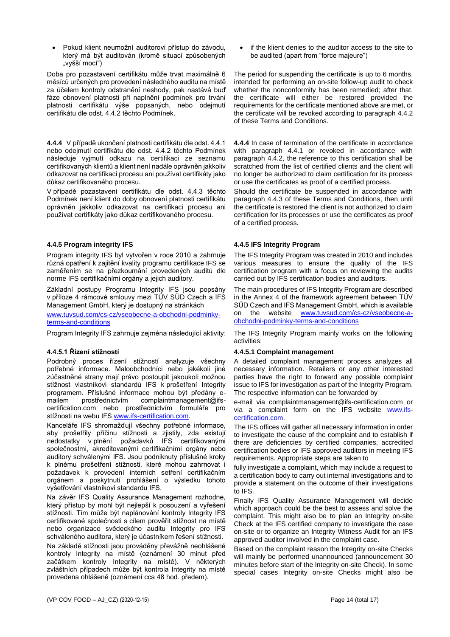• Pokud klient neumožní auditorovi přístup do závodu, který má být auditován (kromě situací způsobených "vyšší mocí")

Doba pro pozastavení certifikátu může trvat maximálně 6 měsíců určených pro provedení následného auditu na místě za účelem kontroly odstranění neshody, pak nastává buď fáze obnovení platnosti při naplnění podmínek pro trvání platnosti certifikátu výše popsaných, nebo odejmutí certifikátu dle odst. 4.4.2 těchto Podmínek.

**4.4.4** V případě ukončení platnosti certifikátu dle odst. 4.4.1 nebo odejmutí certifikátu dle odst. 4.4.2 těchto Podmínek následuje vyjmutí odkazu na certifikaci ze seznamu certifikovaných klientů a klient není nadále oprávněn jakkoliv odkazovat na certifikaci procesu ani používat certifikáty jako důkaz certifikovaného procesu.

V případě pozastavení certifikátu dle odst. 4.4.3 těchto Podmínek není klient do doby obnovení platnosti certifikátu oprávněn jakkoliv odkazovat na certifikaci procesu ani používat certifikáty jako důkaz certifikovaného procesu.

# **4.4.5 Program integrity IFS 4.4.5 IFS Integrity Program**

Program integrity IFS byl vytvořen v roce 2010 a zahrnuje různá opatření k zajitění kvality programu certifikace IFS se zaměřením se na přezkoumání provedených auditů dle norme IFS certifikačními orgány a jejich auditory.

Základní postupy Programu Integrity IFS jsou popsány v příloze 4 rámcové smlouvy mezi TÜV SÜD Czech a IFS Management GmbH, který je dostupný na stránkách

[www.tuvsud.com/cs-cz/vseobecne-a-obchodni-podminky](http://www.tuvsud.com/cs-cz/vseobecne-a-obchodni-podminky-terms-and-conditions)[terms-and-conditions](http://www.tuvsud.com/cs-cz/vseobecne-a-obchodni-podminky-terms-and-conditions)

Program Integrity IFS zahrnuje zejména následující aktivity: The IFS Integrity Program mainly works on the following

## **4.4.5.1 Řízení stížností**

Podrobný proces řízení stížností analyzuje všechny potřebné informace. Maloobchodníci nebo jakékoli jiné zúčastněné strany mají právo postoupit jakoukoli možnou stížnost vlastníkovi standardů IFS k prošetření Integrity programem. Příslušné informace mohou být předány e-<br>mailem prostřednictvím complaintmanagement@ifsmailem prostřednictvím complaintmanagement@ifscertification.com nebo prostřednictvím formuláře pro stížnosti na webu IF[S www.ifs-certification.com.](http://www.ifs-certification.com/)

Kanceláře IFS shromažďují všechny potřebné informace, aby prošetřily příčinu stížnosti a zjistily, zda existují nedostatky v plnění požadavků IFS certifikovanými společnostmi, akreditovanými certifikačními orgány nebo auditory schválenými IFS. Jsou podniknuty příslušné kroky k plnému prošetření stížnosti, které mohou zahrnovat i požadavek k provedení interních setření certifikačním orgánem a poskytnutí prohlášení o výsledku tohoto vyšetřování vlastníkovi standardu IFS.

Na závěr IFS Quality Assurance Management rozhodne, který přístup by mohl být nejlepší k posouzení a vyřešení stížnosti. Tím může být naplánování kontroly Integrity IFS certifikované společnosti s cílem prověřit stížnost na místě nebo organizace svědeckého auditu Integrity pro IFS schváleného auditora, který je účastníkem řešení stížnosti. Na základě stížnosti jsou prováděny převážně neohlášené kontroly Integrity na místě (oznámení 30 minut před začátkem kontroly Integrity na místě). V některých zvláštních případech může být kontrola Integrity na místě provedena ohlášeně (oznámení cca 48 hod. předem).

• if the klient denies to the auditor access to the site to be audited (apart from "force majeure")

The period for suspending the certificate is up to 6 months, intended for performing an on-site follow-up audit to check whether the nonconformity has been remedied; after that, the certificate will either be restored provided the requirements for the certificate mentioned above are met, or the certificate will be revoked according to paragraph 4.4.2 of these Terms and Conditions.

**4.4.4** In case of termination of the certificate in accordance with paragraph 4.4.1 or revoked in accordance with paragraph 4.4.2, the reference to this certification shall be scratched from the list of certified clients and the client will no longer be authorized to claim certification for its process or use the certificates as proof of a certified process.

Should the certificate be suspended in accordance with paragraph 4.4.3 of these Terms and Conditions, then until the certificate is restored the client is not authorized to claim certification for its processes or use the certificates as proof of a certified process.

The IFS Integrity Program was created in 2010 and includes various measures to ensure the quality of the IFS certification program with a focus on reviewing the audits carried out by IFS certification bodies and auditors.

The main procedures of IFS Integrity Program are described in the Annex 4 of the framework agreement between TÜV SÜD Czech and IFS Management GmbH, which is available on the website [www.tuvsud.com/cs-cz/vseobecne-a](http://www.tuvsud.com/cs-cz/vseobecne-a-obchodni-podminky-terms-and-conditions)[obchodni-podminky-terms-and-conditions](http://www.tuvsud.com/cs-cz/vseobecne-a-obchodni-podminky-terms-and-conditions)

activities:

## **4.4.5.1 Complaint management**

A detailed complaint management process analyzes all necessary information. Retailers or any other interested parties have the right to forward any possible complaint issue to IFS for investigation as part of the Integrity Program. The respective information can be forwarded by

e-mail via complaintmanagement@ifs-certification.com or via a complaint form on the IFS website [www.ifs](http://www.ifs-certification.com/)[certification.com.](http://www.ifs-certification.com/)

The IFS offices will gather all necessary information in order to investigate the cause of the complaint and to establish if there are deficiencies by certified companies, accredited certification bodies or IFS approved auditors in meeting IFS requirements. Appropriate steps are taken to

fully investigate a complaint, which may include a request to a certification body to carry out internal investigations and to provide a statement on the outcome of their investigations to IFS.

Finally IFS Quality Assurance Management will decide which approach could be the best to assess and solve the complaint. This might also be to plan an Integrity on-site Check at the IFS certified company to investigate the case on-site or to organize an Integrity Witness Audit for an IFS approved auditor involved in the complaint case.

Based on the complaint reason the Integrity on-site Checks will mainly be performed unannounced (announcement 30 minutes before start of the Integrity on-site Check). In some special cases Integrity on-site Checks might also be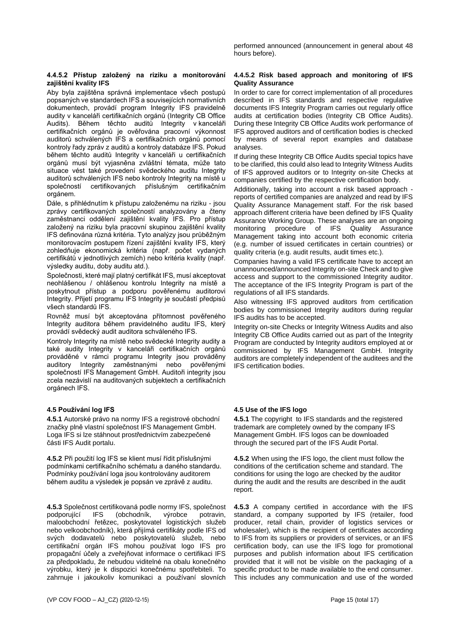performed announced (announcement in general about 48 hours before).

## **4.4.5.2 Přístup založený na riziku a monitorování zajištění kvality IFS**

Aby byla zajištěna správná implementace všech postupů popsaných ve standardech IFS a souvisejících normativních dokumentech, provádí program Integrity IFS pravidelně audity v kanceláři certifikačních orgánů (Integrity CB Office Audits). Během těchto auditů Integrity v kanceláři certifikačních orgánů je ověřována pracovní výkonnost auditorů schválených IFS a certifikačních orgánů pomocí kontroly řady zpráv z auditů a kontroly databáze IFS. Pokud během těchto auditů Integrity v kanceláři u certifikačních orgánů musí být vyjasněna zvláštní témata, může tato situace vést také provedení svědeckého auditu Integrity auditorů schválených IFS nebo kontroly Integrity na místě u společností certifikovaných příslušným certifikačním orgánem.

Dále, s přihlédnutím k přístupu založenému na riziku - jsou zprávy certifikovaných společností analyzovány a čteny zaměstnanci oddělení zajištění kvality IFS. Pro přístup založený na riziku byla pracovní skupinou zajištění kvality IFS definována různá kritéria. Tyto analýzy jsou průběžným monitorovacím postupem řízení zajištění kvality IFS, který zohledňuje ekonomická kritéria (např. počet vydaných certifikátů v jednotlivých zemích) nebo kritéria kvality (např. výsledky auditu, doby auditu atd.).

Společnosti, které mají platný certifikát IFS, musí akceptovat neohlášenou / ohlášenou kontrolu Integrity na místě a poskytnout přístup a podporu pověřenému auditorovi Integrity. Přijetí programu IFS Integrity je součástí předpisů všech standardů IFS.

Rovněž musí být akceptována přítomnost pověřeného Integrity auditora během pravidelného auditu IFS, který provádí svědecký audit auditora schváleného IFS.

Kontroly Integrity na místě nebo svědecké Integrity audity a také audity Integrity v kanceláři certifikačních orgánů prováděné v rámci programu Integrity jsou prováděny auditory Integrity zaměstnanými nebo pověřenými společností IFS Management GmbH. Auditoři integrity jsou zcela nezávislí na auditovaných subjektech a certifikačních orgánech IFS.

**4.5.1** Autorské právo na normy IFS a registrové obchodní značky plně vlastní společnost IFS Management GmbH. Loga IFS si lze stáhnout prostřednictvím zabezpečené části IFS Audit portalu.

**4.5.2** Při použití log IFS se klient musí řídit příslušnými podmínkami certifikačního schématu a daného standardu. Podmínky používání loga jsou kontrolovány auditorem během auditu a výsledek je popsán ve zprávě z auditu.

**4.5.3** Společnost certifikovaná podle normy IFS, společnost podporující IFS (obchodník, výrobce potravin, maloobchodní řetězec, poskytovatel logistických služeb nebo velkoobchodník), která přijímá certifikáty podle IFS od svých dodavatelů nebo poskytovatelů služeb, nebo certifikační orgán IFS mohou používat logo IFS pro propagační účely a zveřejňovat informace o certifikaci IFS za předpokladu, že nebudou viditelné na obalu konečného výrobku, který je k dispozici konečnému spotřebiteli. To zahrnuje i jakoukoliv komunikaci a používaní slovních

### **4.4.5.2 Risk based approach and monitoring of IFS Quality Assurance**

In order to care for correct implementation of all procedures described in IFS standards and respective regulative documents IFS Integrity Program carries out regularly office audits at certification bodies (Integrity CB Office Audits). During these Integrity CB Office Audits work performance of IFS approved auditors and of certification bodies is checked by means of several report examples and database analyses.

If during these Integrity CB Office Audits special topics have to be clarified, this could also lead to Integrity Witness Audits of IFS approved auditors or to Integrity on-site Checks at companies certified by the respective certification body.

Additionally, taking into account a risk based approach reports of certified companies are analyzed and read by IFS Quality Assurance Management staff. For the risk based approach different criteria have been defined by IFS Quality Assurance Working Group. These analyses are an ongoing monitoring procedure of IFS Quality Assurance Management taking into account both economic criteria (e.g. number of issued certificates in certain countries) or quality criteria (e.g. audit results, audit times etc.).

Companies having a valid IFS certificate have to accept an unannounced/announced Integrity on-site Check and to give access and support to the commissioned Integrity auditor. The acceptance of the IFS Integrity Program is part of the regulations of all IFS standards.

Also witnessing IFS approved auditors from certification bodies by commissioned Integrity auditors during regular IFS audits has to be accepted.

Integrity on-site Checks or Integrity Witness Audits and also Integrity CB Office Audits carried out as part of the Integrity Program are conducted by Integrity auditors employed at or commissioned by IFS Management GmbH. Integrity auditors are completely independent of the auditees and the IFS certification bodies.

# **4.5 Používání log IFS 4.5 Use of the IFS logo**

**4.5.1** The copyright to IFS standards and the registered trademark are completely owned by the company IFS Management GmbH. IFS logos can be downloaded through the secured part of the IFS Audit Portal.

**4.5.2** When using the IFS logo, the client must follow the conditions of the certification scheme and standard. The conditions for using the logo are checked by the auditor during the audit and the results are described in the audit report.

**4.5.3** A company certified in accordance with the IFS standard, a company supported by IFS (retailer, food producer, retail chain, provider of logistics services or wholesaler), which is the recipient of certificates according to IFS from its suppliers or providers of services, or an IFS certification body, can use the IFS logo for promotional purposes and publish information about IFS certification provided that it will not be visible on the packaging of a specific product to be made available to the end consumer. This includes any communication and use of the worded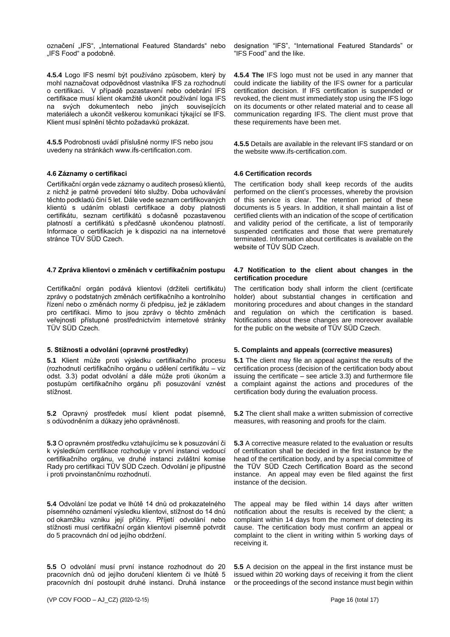označení "IFS", "International Featured Standards" nebo "IFS Food" a podobně.

**4.5.4** Logo IFS nesmí být používáno způsobem, který by mohl naznačovat odpovědnost vlastníka IFS za rozhodnutí o certifikaci. V případě pozastavení nebo odebrání IFS certifikace musí klient okamžitě ukončit používání loga IFS na svých dokumentech nebo jiných souvisejících materiálech a ukončit veškerou komunikaci týkající se IFS. Klient musí splnění těchto požadavků prokázat.

**4.5.5** Podrobnosti uvádí příslušné normy IFS nebo jsou uvedeny na stránkách www.ifs-certification.com.

## **4.6 Záznamy o certifikaci 4.6 Certification records**

Certifikační orgán vede záznamy o auditech prosesů klientů, z nichž je patrné provedení této služby. Doba uchovávání těchto podkladů činí 5 let. Dále vede seznam certifikovaných klientů s udáním oblasti certifikace a doby platnosti certifikátu, seznam certifikátů s dočasně pozastavenou platností a certifikátů s předčasně ukončenou platností. Informace o certifikacích je k dispozici na na internetové stránce TÜV SÜD Czech.

Certifikační orgán podává klientovi (držiteli certifikátu) zprávy o podstatných změnách certifikačního a kontrolního řízení nebo o změnách normy či předpisu, jež je základem pro certifikaci. Mimo to jsou zprávy o těchto změnách veřejnosti přístupné prostřednictvím internetové stránky TÜV SÜD Czech.

**5.1** Klient může proti výsledku certifikačního procesu (rozhodnutí certifikačního orgánu o udělení certifikátu – viz odst. 3.3) podat odvolání a dále může proti úkonům a postupům certifikačního orgánu při posuzování vznést stížnost.

**5.2** Opravný prostředek musí klient podat písemně, s odůvodněním a důkazy jeho oprávněnosti.

**5.3** O opravném prostředku vztahujícímu se k posuzování či k výsledkům certifikace rozhoduje v první instanci vedoucí certifikačního orgánu, ve druhé instanci zvláštní komise Rady pro certifikaci TÜV SÜD Czech. Odvolání je přípustné i proti prvoinstančnímu rozhodnutí.

**5.4** Odvolání lze podat ve lhůtě 14 dnů od prokazatelného písemného oznámení výsledku klientovi, stížnost do 14 dnů od okamžiku vzniku její příčiny. Příjetí odvolání nebo stížnosti musí certifikační orgán klientovi písemně potvrdit do 5 pracovnách dní od jejího obdržení.

**5.5** O odvolání musí první instance rozhodnout do 20 pracovních dnů od jejího doručení klientem či ve lhůtě 5 pracovních dní postoupit druhé instanci. Druhá instance

designation "IFS", "International Featured Standards" or "IFS Food" and the like.

**4.5.4 The** IFS logo must not be used in any manner that could indicate the liability of the IFS owner for a particular certification decision. If IFS certification is suspended or revoked, the client must immediately stop using the IFS logo on its documents or other related material and to cease all communication regarding IFS. The client must prove that these requirements have been met.

**4.5.5** Details are available in the relevant IFS standard or on the website www.ifs-certification.com.

The certification body shall keep records of the audits performed on the client's processes, whereby the provision of this service is clear. The retention period of these documents is 5 years. In addition, it shall maintain a list of certified clients with an indication of the scope of certification and validity period of the certificate, a list of temporarily suspended certificates and those that were prematurely terminated. Information about certificates is available on the website of TÜV SÜD Czech.

## **4.7 Zpráva klientovi o změnách v certifikačním postupu 4.7 Notification to the client about changes in the certification procedure**

The certification body shall inform the client (certificate holder) about substantial changes in certification and monitoring procedures and about changes in the standard and regulation on which the certification is based. Notifications about these changes are moreover available for the public on the website of TÜV SÜD Czech.

# **5. Stížnosti a odvolání (opravné prostředky) 5. Complaints and appeals (corrective measures)**

**5.1** The client may file an appeal against the results of the certification process (decision of the certification body about issuing the certificate – see article 3.3) and furthermore file a complaint against the actions and procedures of the certification body during the evaluation process.

**5.2** The client shall make a written submission of corrective measures, with reasoning and proofs for the claim.

**5.3** A corrective measure related to the evaluation or results of certification shall be decided in the first instance by the head of the certification body, and by a special committee of the TÜV SÜD Czech Certification Board as the second instance. An appeal may even be filed against the first instance of the decision.

The appeal may be filed within 14 days after written notification about the results is received by the client; a complaint within 14 days from the moment of detecting its cause. The certification body must confirm an appeal or complaint to the client in writing within 5 working days of receiving it.

**5.5** A decision on the appeal in the first instance must be issued within 20 working days of receiving it from the client or the proceedings of the second instance must begin within